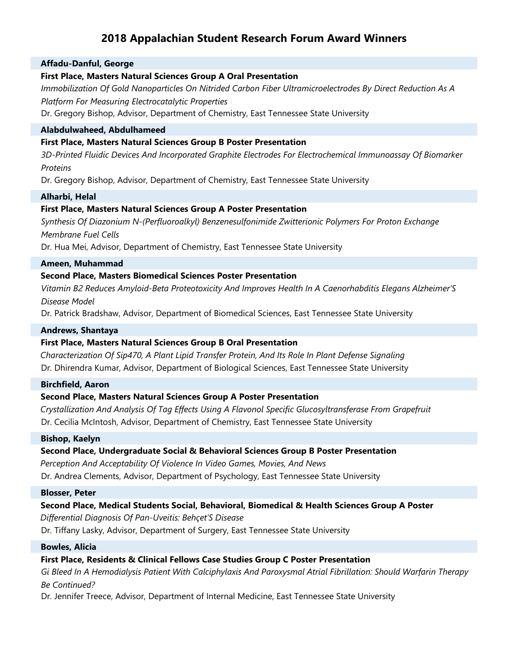### **Affadu-Danful, George**

# **First Place, Masters Natural Sciences Group A Oral Presentation**

*Immobilization Of Gold Nanoparticles On Nitrided Carbon Fiber Ultramicroelectrodes By Direct Reduction As A Platform For Measuring Electrocatalytic Properties*

Dr. Gregory Bishop, Advisor, Department of Chemistry, East Tennessee State University

#### **Alabdulwaheed, Abdulhameed**

# **First Place, Masters Natural Sciences Group B Poster Presentation**

*3D-Printed Fluidic Devices And Incorporated Graphite Electrodes For Electrochemical Immunoassay Of Biomarker Proteins*

Dr. Gregory Bishop, Advisor, Department of Chemistry, East Tennessee State University

# **Alharbi, Helal**

# **First Place, Masters Natural Sciences Group A Poster Presentation**

*Synthesis Of Diazonium N-(Perfluoroalkyl) Benzenesulfonimide Zwitterionic Polymers For Proton Exchange Membrane Fuel Cells*

Dr. Hua Mei, Advisor, Department of Chemistry, East Tennessee State University

### **Ameen, Muhammad**

# **Second Place, Masters Biomedical Sciences Poster Presentation**

*Vitamin B2 Reduces Amyloid-Beta Proteotoxicity And Improves Health In A Caenorhabditis Elegans Alzheimer'S Disease Model*

Dr. Patrick Bradshaw, Advisor, Department of Biomedical Sciences, East Tennessee State University

#### **Andrews, Shantaya**

# **First Place, Masters Natural Sciences Group B Oral Presentation**

*Characterization Of Sip470, A Plant Lipid Transfer Protein, And Its Role In Plant Defense Signaling* Dr. Dhirendra Kumar, Advisor, Department of Biological Sciences, East Tennessee State University

#### **Birchfield, Aaron**

# **Second Place, Masters Natural Sciences Group A Poster Presentation**

*Crystallization And Analysis Of Tag Effects Using A Flavonol Specific Glucosyltransferase From Grapefruit* Dr. Cecilia McIntosh, Advisor, Department of Chemistry, East Tennessee State University

#### **Bishop, Kaelyn**

# **Second Place, Undergraduate Social & Behavioral Sciences Group B Poster Presentation**

*Perception And Acceptability Of Violence In Video Games, Movies, And News* Dr. Andrea Clements, Advisor, Department of Psychology, East Tennessee State University

#### **Blosser, Peter**

# **Second Place, Medical Students Social, Behavioral, Biomedical & Health Sciences Group A Poster**

*Differential Diagnosis Of Pan-Uveitis: Behçet'S Disease*

Dr. Tiffany Lasky, Advisor, Department of Surgery, East Tennessee State University

# **Bowles, Alicia**

# **First Place, Residents & Clinical Fellows Case Studies Group C Poster Presentation**

*Gi Bleed In A Hemodialysis Patient With Calciphylaxis And Paroxysmal Atrial Fibrillation: Should Warfarin Therapy Be Continued?*

Dr. Jennifer Treece, Advisor, Department of Internal Medicine, East Tennessee State University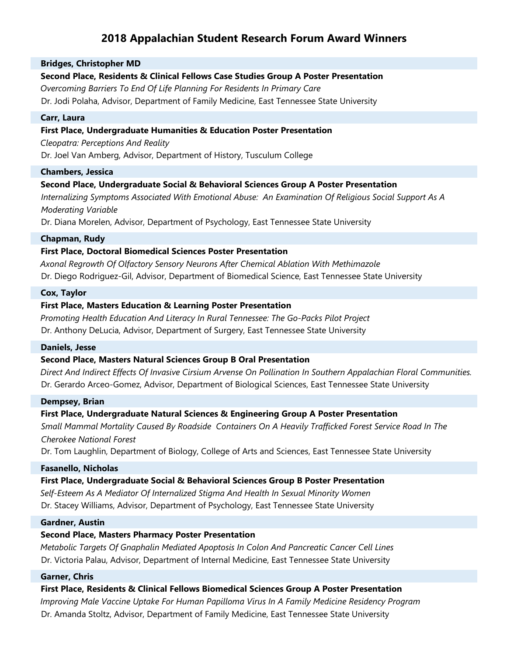#### **Bridges, Christopher MD**

**Second Place, Residents & Clinical Fellows Case Studies Group A Poster Presentation** *Overcoming Barriers To End Of Life Planning For Residents In Primary Care* Dr. Jodi Polaha, Advisor, Department of Family Medicine, East Tennessee State University

#### **Carr, Laura**

#### **First Place, Undergraduate Humanities & Education Poster Presentation**

*Cleopatra: Perceptions And Reality*

Dr. Joel Van Amberg, Advisor, Department of History, Tusculum College

#### **Chambers, Jessica**

# **Second Place, Undergraduate Social & Behavioral Sciences Group A Poster Presentation**

*Internalizing Symptoms Associated With Emotional Abuse: An Examination Of Religious Social Support As A Moderating Variable*

Dr. Diana Morelen, Advisor, Department of Psychology, East Tennessee State University

#### **Chapman, Rudy**

# **First Place, Doctoral Biomedical Sciences Poster Presentation**

*Axonal Regrowth Of Olfactory Sensory Neurons After Chemical Ablation With Methimazole* Dr. Diego Rodriguez-Gil, Advisor, Department of Biomedical Science, East Tennessee State University

#### **Cox, Taylor**

# **First Place, Masters Education & Learning Poster Presentation**

*Promoting Health Education And Literacy In Rural Tennessee: The Go-Packs Pilot Project* Dr. Anthony DeLucia, Advisor, Department of Surgery, East Tennessee State University

#### **Daniels, Jesse**

# **Second Place, Masters Natural Sciences Group B Oral Presentation**

*Direct And Indirect Effects Of Invasive Cirsium Arvense On Pollination In Southern Appalachian Floral Communities.* Dr. Gerardo Arceo-Gomez, Advisor, Department of Biological Sciences, East Tennessee State University

#### **Dempsey, Brian**

# **First Place, Undergraduate Natural Sciences & Engineering Group A Poster Presentation**

*Small Mammal Mortality Caused By Roadside Containers On A Heavily Trafficked Forest Service Road In The Cherokee National Forest*

Dr. Tom Laughlin, Department of Biology, College of Arts and Sciences, East Tennessee State University

#### **Fasanello, Nicholas**

# **First Place, Undergraduate Social & Behavioral Sciences Group B Poster Presentation**

*Self-Esteem As A Mediator Of Internalized Stigma And Health In Sexual Minority Women* Dr. Stacey Williams, Advisor, Department of Psychology, East Tennessee State University

# **Gardner, Austin**

# **Second Place, Masters Pharmacy Poster Presentation**

*Metabolic Targets Of Gnaphalin Mediated Apoptosis In Colon And Pancreatic Cancer Cell Lines* Dr. Victoria Palau, Advisor, Department of Internal Medicine, East Tennessee State University

#### **Garner, Chris**

# **First Place, Residents & Clinical Fellows Biomedical Sciences Group A Poster Presentation**

*Improving Male Vaccine Uptake For Human Papilloma Virus In A Family Medicine Residency Program* Dr. Amanda Stoltz, Advisor, Department of Family Medicine, East Tennessee State University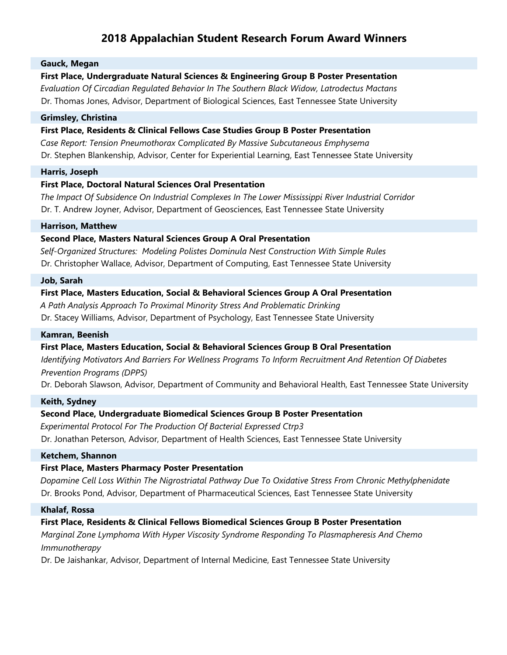### **Gauck, Megan**

# **First Place, Undergraduate Natural Sciences & Engineering Group B Poster Presentation** *Evaluation Of Circadian Regulated Behavior In The Southern Black Widow, Latrodectus Mactans* Dr. Thomas Jones, Advisor, Department of Biological Sciences, East Tennessee State University

#### **Grimsley, Christina**

### **First Place, Residents & Clinical Fellows Case Studies Group B Poster Presentation**

*Case Report: Tension Pneumothorax Complicated By Massive Subcutaneous Emphysema* Dr. Stephen Blankenship, Advisor, Center for Experiential Learning, East Tennessee State University

#### **Harris, Joseph**

# **First Place, Doctoral Natural Sciences Oral Presentation**

*The Impact Of Subsidence On Industrial Complexes In The Lower Mississippi River Industrial Corridor* Dr. T. Andrew Joyner, Advisor, Department of Geosciences, East Tennessee State University

#### **Harrison, Matthew**

# **Second Place, Masters Natural Sciences Group A Oral Presentation**

*Self-Organized Structures: Modeling Polistes Dominula Nest Construction With Simple Rules* Dr. Christopher Wallace, Advisor, Department of Computing, East Tennessee State University

#### **Job, Sarah**

# **First Place, Masters Education, Social & Behavioral Sciences Group A Oral Presentation**

*A Path Analysis Approach To Proximal Minority Stress And Problematic Drinking* Dr. Stacey Williams, Advisor, Department of Psychology, East Tennessee State University

### **Kamran, Beenish**

# **First Place, Masters Education, Social & Behavioral Sciences Group B Oral Presentation**

*Identifying Motivators And Barriers For Wellness Programs To Inform Recruitment And Retention Of Diabetes Prevention Programs (DPPS)*

Dr. Deborah Slawson, Advisor, Department of Community and Behavioral Health, East Tennessee State University

# **Keith, Sydney**

# **Second Place, Undergraduate Biomedical Sciences Group B Poster Presentation**

*Experimental Protocol For The Production Of Bacterial Expressed Ctrp3* Dr. Jonathan Peterson, Advisor, Department of Health Sciences, East Tennessee State University

#### **Ketchem, Shannon**

# **First Place, Masters Pharmacy Poster Presentation**

*Dopamine Cell Loss Within The Nigrostriatal Pathway Due To Oxidative Stress From Chronic Methylphenidate* Dr. Brooks Pond, Advisor, Department of Pharmaceutical Sciences, East Tennessee State University

# **Khalaf, Rossa**

# **First Place, Residents & Clinical Fellows Biomedical Sciences Group B Poster Presentation**

*Marginal Zone Lymphoma With Hyper Viscosity Syndrome Responding To Plasmapheresis And Chemo Immunotherapy*

Dr. De Jaishankar, Advisor, Department of Internal Medicine, East Tennessee State University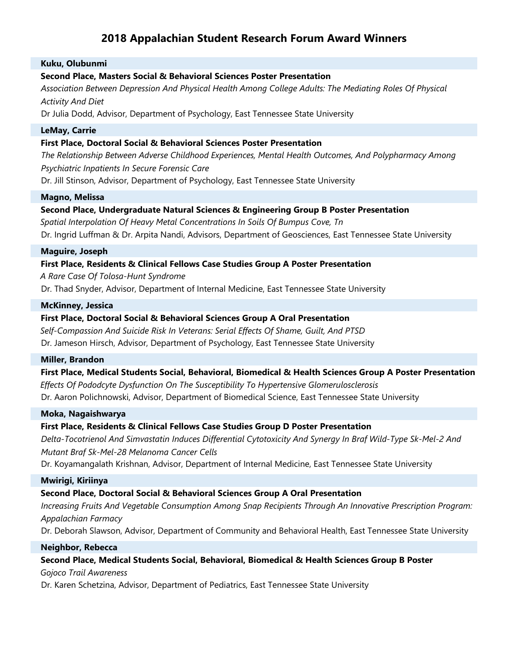# **Kuku, Olubunmi**

### **Second Place, Masters Social & Behavioral Sciences Poster Presentation**

*Association Between Depression And Physical Health Among College Adults: The Mediating Roles Of Physical Activity And Diet*

Dr Julia Dodd, Advisor, Department of Psychology, East Tennessee State University

#### **LeMay, Carrie**

# **First Place, Doctoral Social & Behavioral Sciences Poster Presentation**

*The Relationship Between Adverse Childhood Experiences, Mental Health Outcomes, And Polypharmacy Among Psychiatric Inpatients In Secure Forensic Care* Dr. Jill Stinson, Advisor, Department of Psychology, East Tennessee State University

#### **Magno, Melissa**

#### **Second Place, Undergraduate Natural Sciences & Engineering Group B Poster Presentation**

*Spatial Interpolation Of Heavy Metal Concentrations In Soils Of Bumpus Cove, Tn* Dr. Ingrid Luffman & Dr. Arpita Nandi, Advisors, Department of Geosciences, East Tennessee State University

### **Maguire, Joseph**

#### **First Place, Residents & Clinical Fellows Case Studies Group A Poster Presentation**

*A Rare Case Of Tolosa-Hunt Syndrome*

Dr. Thad Snyder, Advisor, Department of Internal Medicine, East Tennessee State University

#### **McKinney, Jessica**

### **First Place, Doctoral Social & Behavioral Sciences Group A Oral Presentation**

*Self-Compassion And Suicide Risk In Veterans: Serial Effects Of Shame, Guilt, And PTSD* Dr. Jameson Hirsch, Advisor, Department of Psychology, East Tennessee State University

#### **Miller, Brandon**

# **First Place, Medical Students Social, Behavioral, Biomedical & Health Sciences Group A Poster Presentation**

*Effects Of Pododcyte Dysfunction On The Susceptibility To Hypertensive Glomerulosclerosis* Dr. Aaron Polichnowski, Advisor, Department of Biomedical Science, East Tennessee State University

#### **Moka, Nagaishwarya**

# **First Place, Residents & Clinical Fellows Case Studies Group D Poster Presentation**

*Delta-Tocotrienol And Simvastatin Induces Differential Cytotoxicity And Synergy In Braf Wild-Type Sk-Mel-2 And Mutant Braf Sk-Mel-28 Melanoma Cancer Cells*

Dr. Koyamangalath Krishnan, Advisor, Department of Internal Medicine, East Tennessee State University

#### **Mwirigi, Kiriinya**

# **Second Place, Doctoral Social & Behavioral Sciences Group A Oral Presentation**

*Increasing Fruits And Vegetable Consumption Among Snap Recipients Through An Innovative Prescription Program: Appalachian Farmacy*

Dr. Deborah Slawson, Advisor, Department of Community and Behavioral Health, East Tennessee State University

#### **Neighbor, Rebecca**

**Second Place, Medical Students Social, Behavioral, Biomedical & Health Sciences Group B Poster**  *Gojoco Trail Awareness*

Dr. Karen Schetzina, Advisor, Department of Pediatrics, East Tennessee State University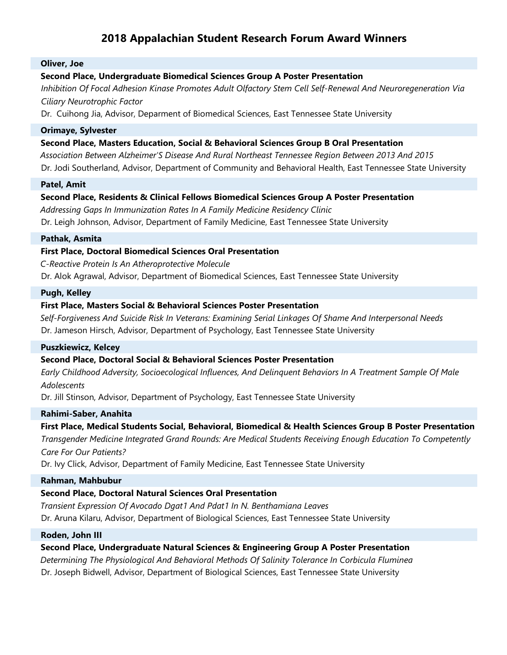### **Oliver, Joe**

### **Second Place, Undergraduate Biomedical Sciences Group A Poster Presentation**

*Inhibition Of Focal Adhesion Kinase Promotes Adult Olfactory Stem Cell Self-Renewal And Neuroregeneration Via Ciliary Neurotrophic Factor*

Dr. Cuihong Jia, Advisor, Deparment of Biomedical Sciences, East Tennessee State University

#### **Orimaye, Sylvester**

# **Second Place, Masters Education, Social & Behavioral Sciences Group B Oral Presentation**

*Association Between Alzheimer'S Disease And Rural Northeast Tennessee Region Between 2013 And 2015* Dr. Jodi Southerland, Advisor, Department of Community and Behavioral Health, East Tennessee State University

# **Patel, Amit**

# **Second Place, Residents & Clinical Fellows Biomedical Sciences Group A Poster Presentation**

*Addressing Gaps In Immunization Rates In A Family Medicine Residency Clinic* Dr. Leigh Johnson, Advisor, Department of Family Medicine, East Tennessee State University

#### **Pathak, Asmita**

# **First Place, Doctoral Biomedical Sciences Oral Presentation**

*C-Reactive Protein Is An Atheroprotective Molecule*

Dr. Alok Agrawal, Advisor, Department of Biomedical Sciences, East Tennessee State University

#### **Pugh, Kelley**

# **First Place, Masters Social & Behavioral Sciences Poster Presentation**

*Self-Forgiveness And Suicide Risk In Veterans: Examining Serial Linkages Of Shame And Interpersonal Needs* Dr. Jameson Hirsch, Advisor, Department of Psychology, East Tennessee State University

#### **Puszkiewicz, Kelcey**

# **Second Place, Doctoral Social & Behavioral Sciences Poster Presentation**

*Early Childhood Adversity, Socioecological Influences, And Delinquent Behaviors In A Treatment Sample Of Male Adolescents*

Dr. Jill Stinson, Advisor, Department of Psychology, East Tennessee State University

#### **Rahimi-Saber, Anahita**

# **First Place, Medical Students Social, Behavioral, Biomedical & Health Sciences Group B Poster Presentation**

*Transgender Medicine Integrated Grand Rounds: Are Medical Students Receiving Enough Education To Competently Care For Our Patients?*

Dr. Ivy Click, Advisor, Department of Family Medicine, East Tennessee State University

#### **Rahman, Mahbubur**

# **Second Place, Doctoral Natural Sciences Oral Presentation**

*Transient Expression Of Avocado Dgat1 And Pdat1 In N. Benthamiana Leaves* Dr. Aruna Kilaru, Advisor, Department of Biological Sciences, East Tennessee State University

#### **Roden, John III**

# **Second Place, Undergraduate Natural Sciences & Engineering Group A Poster Presentation**

*Determining The Physiological And Behavioral Methods Of Salinity Tolerance In Corbicula Fluminea* Dr. Joseph Bidwell, Advisor, Department of Biological Sciences, East Tennessee State University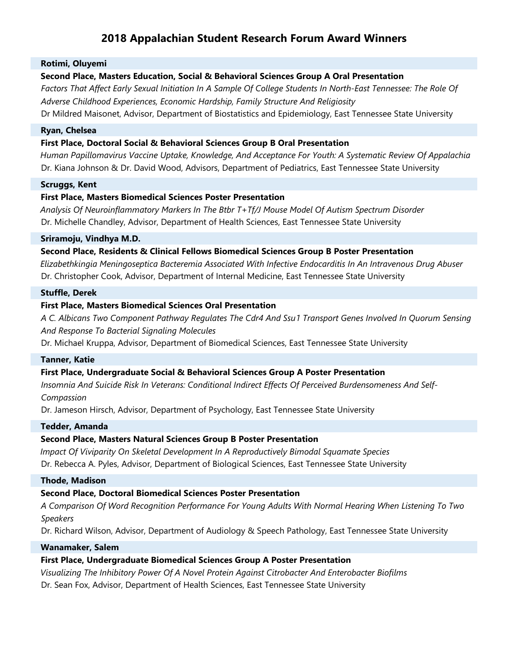# **Rotimi, Oluyemi**

# **Second Place, Masters Education, Social & Behavioral Sciences Group A Oral Presentation**

*Factors That Affect Early Sexual Initiation In A Sample Of College Students In North-East Tennessee: The Role Of Adverse Childhood Experiences, Economic Hardship, Family Structure And Religiosity* Dr Mildred Maisonet, Advisor, Department of Biostatistics and Epidemiology, East Tennessee State University

#### **Ryan, Chelsea**

#### **First Place, Doctoral Social & Behavioral Sciences Group B Oral Presentation**

*Human Papillomavirus Vaccine Uptake, Knowledge, And Acceptance For Youth: A Systematic Review Of Appalachia* Dr. Kiana Johnson & Dr. David Wood, Advisors, Department of Pediatrics, East Tennessee State University

# **Scruggs, Kent**

# **First Place, Masters Biomedical Sciences Poster Presentation**

*Analysis Of Neuroinflammatory Markers In The Btbr T+Tf/J Mouse Model Of Autism Spectrum Disorder* Dr. Michelle Chandley, Advisor, Department of Health Sciences, East Tennessee State University

#### **Sriramoju, Vindhya M.D.**

#### **Second Place, Residents & Clinical Fellows Biomedical Sciences Group B Poster Presentation**

*Elizabethkingia Meningoseptica Bacteremia Associated With Infective Endocarditis In An Intravenous Drug Abuser* Dr. Christopher Cook, Advisor, Department of Internal Medicine, East Tennessee State University

#### **Stuffle, Derek**

#### **First Place, Masters Biomedical Sciences Oral Presentation**

*A C. Albicans Two Component Pathway Regulates The Cdr4 And Ssu1 Transport Genes Involved In Quorum Sensing And Response To Bacterial Signaling Molecules*

Dr. Michael Kruppa, Advisor, Department of Biomedical Sciences, East Tennessee State University

#### **Tanner, Katie**

### **First Place, Undergraduate Social & Behavioral Sciences Group A Poster Presentation**

*Insomnia And Suicide Risk In Veterans: Conditional Indirect Effects Of Perceived Burdensomeness And Self-Compassion*

Dr. Jameson Hirsch, Advisor, Department of Psychology, East Tennessee State University

### **Tedder, Amanda**

#### **Second Place, Masters Natural Sciences Group B Poster Presentation**

*Impact Of Viviparity On Skeletal Development In A Reproductively Bimodal Squamate Species* Dr. Rebecca A. Pyles, Advisor, Department of Biological Sciences, East Tennessee State University

# **Thode, Madison**

#### **Second Place, Doctoral Biomedical Sciences Poster Presentation**

*A Comparison Of Word Recognition Performance For Young Adults With Normal Hearing When Listening To Two Speakers*

Dr. Richard Wilson, Advisor, Department of Audiology & Speech Pathology, East Tennessee State University

#### **Wanamaker, Salem**

#### **First Place, Undergraduate Biomedical Sciences Group A Poster Presentation**

*Visualizing The Inhibitory Power Of A Novel Protein Against Citrobacter And Enterobacter Biofilms* Dr. Sean Fox, Advisor, Department of Health Sciences, East Tennessee State University